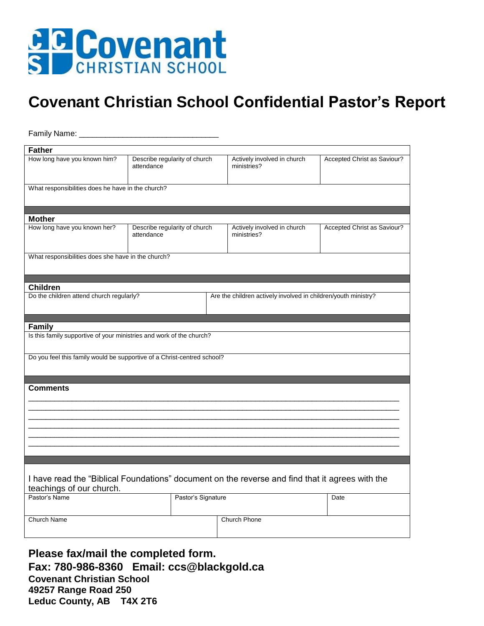

## **Covenant Christian School Confidential Pastor's Report**

| Family Name:                                                                                                                |                                             |                                                                |                             |                             |
|-----------------------------------------------------------------------------------------------------------------------------|---------------------------------------------|----------------------------------------------------------------|-----------------------------|-----------------------------|
| <b>Father</b>                                                                                                               |                                             |                                                                |                             |                             |
| How long have you known him?                                                                                                | Describe regularity of church<br>attendance | ministries?                                                    | Actively involved in church | Accepted Christ as Saviour? |
| What responsibilities does he have in the church?                                                                           |                                             |                                                                |                             |                             |
|                                                                                                                             |                                             |                                                                |                             |                             |
| <b>Mother</b>                                                                                                               |                                             |                                                                |                             |                             |
| How long have you known her?                                                                                                | Describe regularity of church<br>attendance | ministries?                                                    | Actively involved in church | Accepted Christ as Saviour? |
| What responsibilities does she have in the church?                                                                          |                                             |                                                                |                             |                             |
|                                                                                                                             |                                             |                                                                |                             |                             |
| <b>Children</b>                                                                                                             |                                             |                                                                |                             |                             |
| Do the children attend church regularly?                                                                                    |                                             | Are the children actively involved in children/youth ministry? |                             |                             |
|                                                                                                                             |                                             |                                                                |                             |                             |
| <b>Family</b><br>Is this family supportive of your ministries and work of the church?                                       |                                             |                                                                |                             |                             |
| Do you feel this family would be supportive of a Christ-centred school?                                                     |                                             |                                                                |                             |                             |
| <b>Comments</b>                                                                                                             |                                             |                                                                |                             |                             |
|                                                                                                                             |                                             |                                                                |                             |                             |
|                                                                                                                             |                                             |                                                                |                             |                             |
|                                                                                                                             |                                             |                                                                |                             |                             |
|                                                                                                                             |                                             |                                                                |                             |                             |
| I have read the "Biblical Foundations" document on the reverse and find that it agrees with the<br>teachings of our church. |                                             |                                                                |                             |                             |
| Pastor's Name                                                                                                               | Pastor's Signature                          |                                                                |                             | Date                        |
| Church Name                                                                                                                 |                                             | Church Phone                                                   |                             |                             |

Please fax/mail the completed form. Fax: 780-986-8360 Email: ccs@blackgold.ca **Covenant Christian School** 49257 Range Road 250 Leduc County, AB T4X 2T6